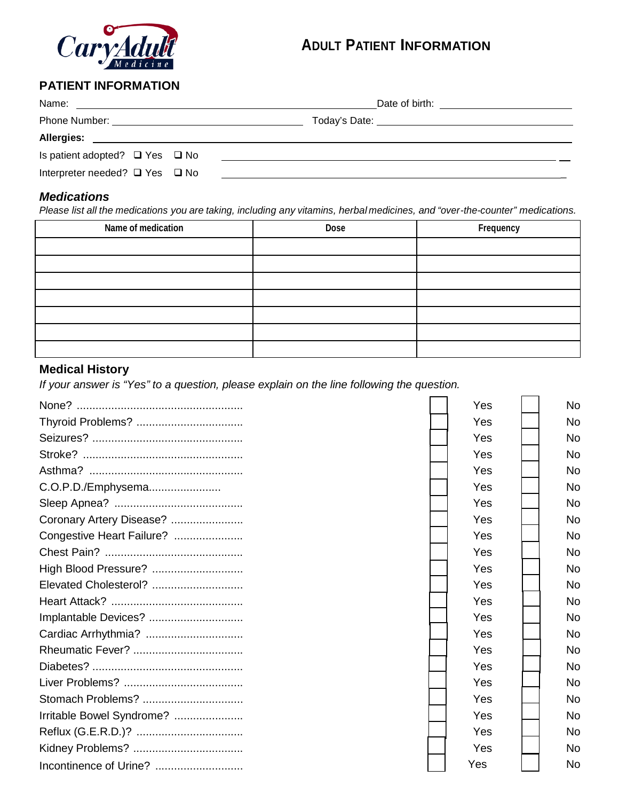

# **ADULT PATIENT INFORMATION**

### **PATIENT INFORMATION**

| Is patient adopted? $\Box$ Yes $\Box$ No | <u> 1980 - Jan Samuel Barbara, martin da shekara tsara 1980 - André a Santa Albania a Santa Albania a Santa Alban</u> |
|------------------------------------------|-----------------------------------------------------------------------------------------------------------------------|
| Interpreter needed? $\Box$ Yes $\Box$ No | <u> 1989 - Johann John Stein, fransk politik (f. 1989)</u>                                                            |

#### *Medications*

Please list all the medications you are taking, including any vitamins, herbal medicines, and "over-the-counter" medications.

| Name of medication | Dose | Frequency |
|--------------------|------|-----------|
|                    |      |           |
|                    |      |           |
|                    |      |           |
|                    |      |           |
|                    |      |           |
|                    |      |           |
|                    |      |           |

### **Medical History**

*If your answer is "Yes" to a question, please explain on the line following the question.*

|                           | Yes | No.       |
|---------------------------|-----|-----------|
| Thyroid Problems?         | Yes | <b>No</b> |
|                           | Yes | No        |
|                           | Yes | No        |
|                           |     |           |
|                           | Yes | No        |
| C.O.P.D./Emphysema        | Yes | No        |
|                           | Yes | No        |
| Coronary Artery Disease?  | Yes | No        |
| Congestive Heart Failure? | Yes | No        |
|                           | Yes | <b>No</b> |
| High Blood Pressure?      | Yes | <b>No</b> |
| Elevated Cholesterol?     | Yes | <b>No</b> |
|                           | Yes | No        |
| Implantable Devices?      | Yes | No        |
| Cardiac Arrhythmia?       | Yes | No        |
|                           | Yes | No.       |
|                           | Yes | No        |
|                           | Yes | <b>No</b> |
| Stomach Problems?         | Yes | No        |
| Irritable Bowel Syndrome? | Yes | No        |
|                           | Yes | No        |
|                           | Yes | No.       |
|                           | Yes | No        |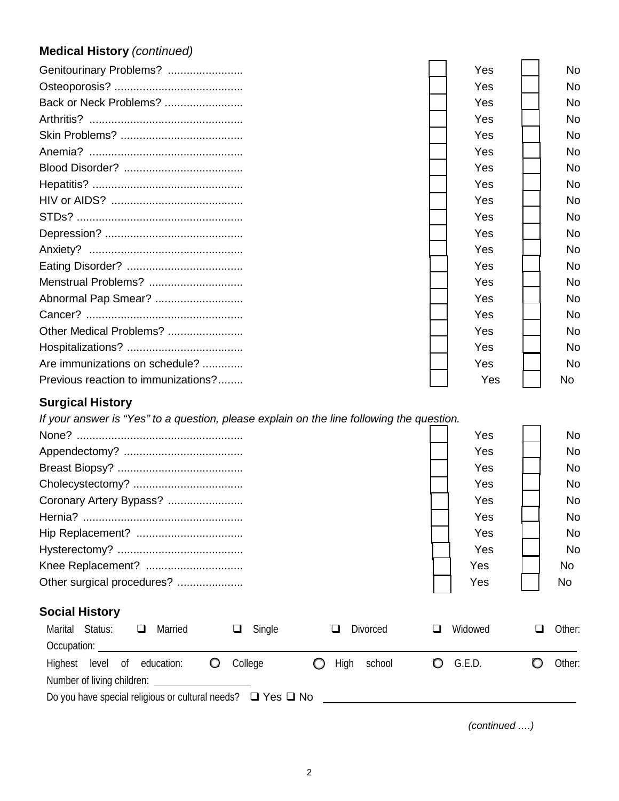# **Medical History** *(continued)*

| Genitourinary Problems?                                                                   | Yes | No.       |
|-------------------------------------------------------------------------------------------|-----|-----------|
|                                                                                           | Yes | <b>No</b> |
| Back or Neck Problems?                                                                    | Yes | No.       |
|                                                                                           | Yes | No.       |
|                                                                                           | Yes | <b>No</b> |
|                                                                                           | Yes | No.       |
|                                                                                           | Yes | No.       |
|                                                                                           | Yes | No.       |
|                                                                                           | Yes | <b>No</b> |
|                                                                                           | Yes | <b>No</b> |
|                                                                                           | Yes | No.       |
|                                                                                           | Yes | <b>No</b> |
|                                                                                           | Yes | <b>No</b> |
| Menstrual Problems?                                                                       | Yes | <b>No</b> |
| Abnormal Pap Smear?                                                                       | Yes | <b>No</b> |
|                                                                                           | Yes | No.       |
| Other Medical Problems?                                                                   | Yes | <b>No</b> |
|                                                                                           | Yes | <b>No</b> |
| Are immunizations on schedule?                                                            | Yes | <b>No</b> |
| Previous reaction to immunizations?                                                       | Yes | No.       |
| <b>Surgical History</b>                                                                   |     |           |
| If your answer is "Yes" to a question, please explain on the line following the question. |     |           |
|                                                                                           | Yes | No.       |

| r es    | <b>NO</b> |
|---------|-----------|
| Yes     | No.       |
| Yes     | <b>No</b> |
| Yes     | <b>No</b> |
| Yes     | <b>No</b> |
| Yes     | <b>No</b> |
| Yes     | <b>No</b> |
| Yes     | <b>No</b> |
| Yes     | No.       |
| Yes     | <b>No</b> |
|         |           |
| Widowed | Other:    |
|         |           |

| Marital Status:            | <i>v</i> iarrieg                                                      | <b>Single</b> | <b>DIVORCEG</b> | vviaowea   | Other: |
|----------------------------|-----------------------------------------------------------------------|---------------|-----------------|------------|--------|
| Occupation:                |                                                                       |               |                 |            |        |
| Highest                    | level of education:<br>$\circ$                                        | College       | High<br>school  | $O$ G.E.D. | Other: |
| Number of living children: |                                                                       |               |                 |            |        |
|                            | Do you have special religious or cultural needs? $\Box$ Yes $\Box$ No |               |                 |            |        |
|                            |                                                                       |               |                 |            |        |

*(continued ….)*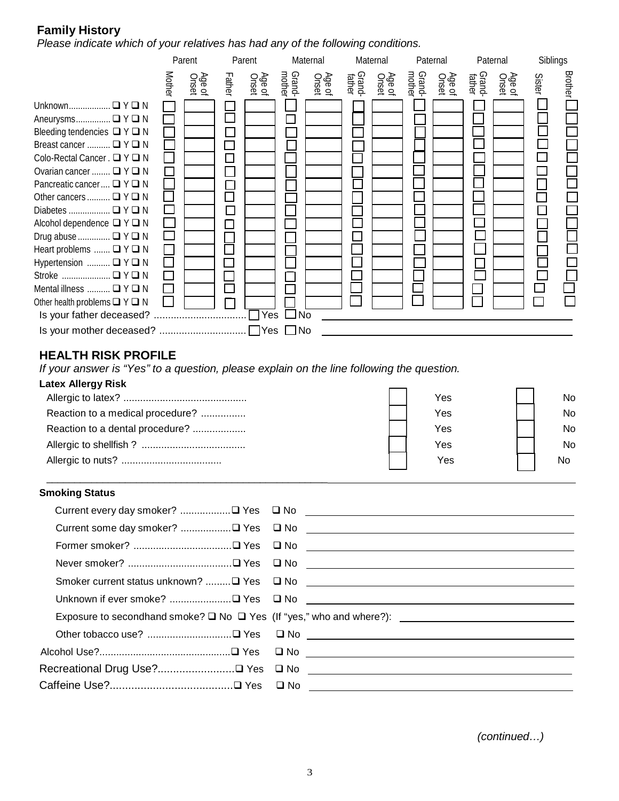### **Family History**

*Please indicate which of your relatives has had any of the following conditions.*

|                                                                                                                                                                                                                                                                                                                                                                                                                                                                                     |               | Parent          |        | Parent          |                  | Maternal        |                  | Maternal        |                  | Paternal        | Paternal         |                 | Siblings |         |
|-------------------------------------------------------------------------------------------------------------------------------------------------------------------------------------------------------------------------------------------------------------------------------------------------------------------------------------------------------------------------------------------------------------------------------------------------------------------------------------|---------------|-----------------|--------|-----------------|------------------|-----------------|------------------|-----------------|------------------|-----------------|------------------|-----------------|----------|---------|
|                                                                                                                                                                                                                                                                                                                                                                                                                                                                                     | <b>Mother</b> | Age of<br>Onset | Father | Age of<br>Onset | Grand-<br>mother | Age of<br>Onset | Grand-<br>father | Age of<br>Onset | Grand-<br>mother | Age of<br>Onset | Grand-<br>father | Age of<br>Onset | Sister   | Brother |
| Unknown □ Y □ N<br>Aneurysms □ Y □ N<br>Bleeding tendencies $\Box Y \Box N$<br>Breast cancer  □ Y □ N<br>Colo-Rectal Cancer . □ Y □ N<br>Ovarian cancer $\Box Y \Box N$<br>Pancreatic cancer $\Box Y \Box N$<br>Other cancers $\Box Y \Box N$<br>Alcohol dependence $\Box$ Y $\Box$ N<br>Drug abuse $\Box Y \Box N$<br>Heart problems $\Box Y \Box N$<br>Hypertension $\Box Y \Box N$<br>Stroke  □ Y □ N<br>Mental illness $\Box Y \Box N$<br>Other health problems $\Box Y \Box N$ |               |                 |        |                 | $\square$ No     |                 |                  |                 |                  |                 |                  |                 |          |         |

### **HEALTH RISK PROFILE**

*If your answer is "Yes" to a question, please explain on the line following the question.*

\_\_\_\_\_\_\_\_\_\_\_\_\_\_\_\_\_\_\_\_\_\_\_\_\_\_\_\_\_\_\_\_\_\_\_\_\_\_\_\_\_\_\_\_\_\_\_\_\_\_

| Latex Allergy Risk               |     |           |
|----------------------------------|-----|-----------|
|                                  | Yes | No.       |
| Reaction to a medical procedure? | Yes | No.       |
| Reaction to a dental procedure?  | Yes | No.       |
|                                  | Yes | No.       |
|                                  | Yes | <b>No</b> |

#### **Smoking Status**

|  | Exposure to secondhand smoke? □ No □ Yes (If "yes," who and where?): ______________________________ |
|--|-----------------------------------------------------------------------------------------------------|
|  |                                                                                                     |
|  |                                                                                                     |
|  |                                                                                                     |
|  |                                                                                                     |
|  |                                                                                                     |

*(continued…)*